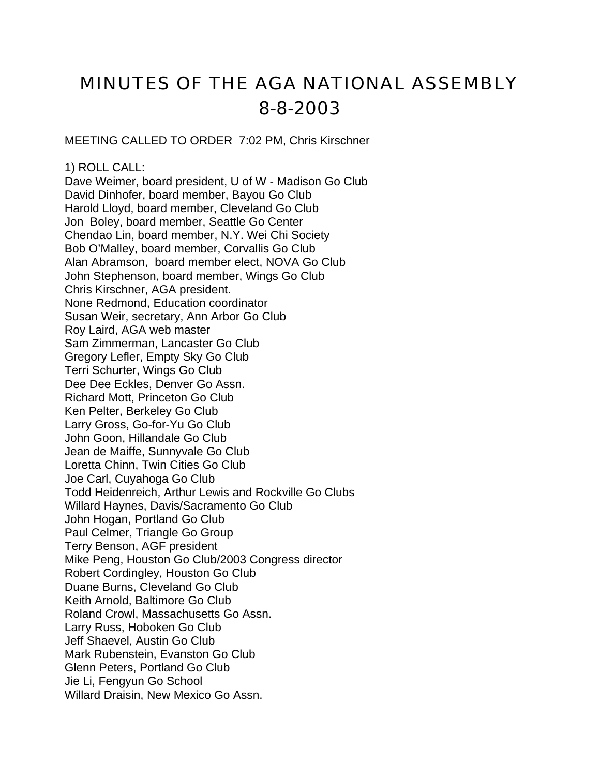# MINUTES OF THE AGA NATIONAL ASSEMBLY 8-8-2003

MEETING CALLED TO ORDER 7:02 PM, Chris Kirschner

1) ROLL CALL:

Dave Weimer, board president, U of W - Madison Go Club David Dinhofer, board member, Bayou Go Club Harold Lloyd, board member, Cleveland Go Club Jon Boley, board member, Seattle Go Center Chendao Lin, board member, N.Y. Wei Chi Society Bob O'Malley, board member, Corvallis Go Club Alan Abramson, board member elect, NOVA Go Club John Stephenson, board member, Wings Go Club Chris Kirschner, AGA president. None Redmond, Education coordinator Susan Weir, secretary, Ann Arbor Go Club Roy Laird, AGA web master Sam Zimmerman, Lancaster Go Club Gregory Lefler, Empty Sky Go Club Terri Schurter, Wings Go Club Dee Dee Eckles, Denver Go Assn. Richard Mott, Princeton Go Club Ken Pelter, Berkeley Go Club Larry Gross, Go-for-Yu Go Club John Goon, Hillandale Go Club Jean de Maiffe, Sunnyvale Go Club Loretta Chinn, Twin Cities Go Club Joe Carl, Cuyahoga Go Club Todd Heidenreich, Arthur Lewis and Rockville Go Clubs Willard Haynes, Davis/Sacramento Go Club John Hogan, Portland Go Club Paul Celmer, Triangle Go Group Terry Benson, AGF president Mike Peng, Houston Go Club/2003 Congress director Robert Cordingley, Houston Go Club Duane Burns, Cleveland Go Club Keith Arnold, Baltimore Go Club Roland Crowl, Massachusetts Go Assn. Larry Russ, Hoboken Go Club Jeff Shaevel, Austin Go Club Mark Rubenstein, Evanston Go Club Glenn Peters, Portland Go Club Jie Li, Fengyun Go School Willard Draisin, New Mexico Go Assn.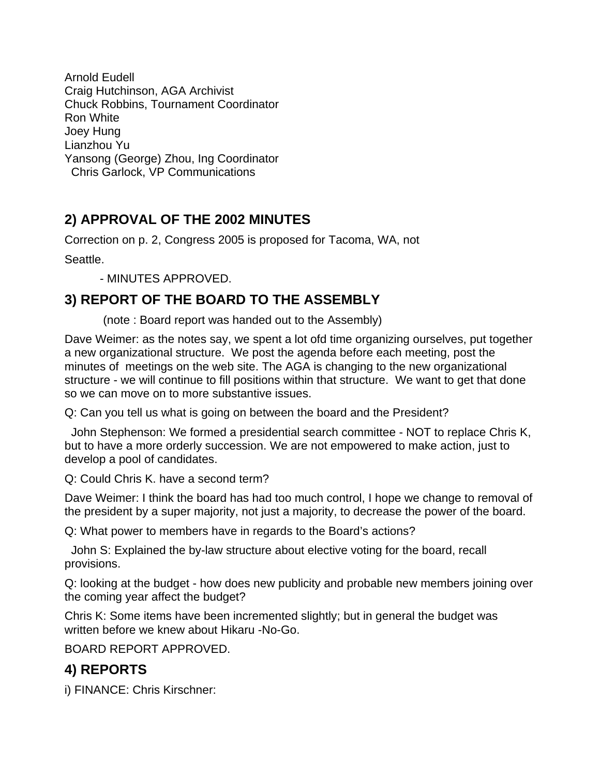Arnold Eudell Craig Hutchinson, AGA Archivist Chuck Robbins, Tournament Coordinator Ron White Joey Hung Lianzhou Yu Yansong (George) Zhou, Ing Coordinator Chris Garlock, VP Communications

### **2) APPROVAL OF THE 2002 MINUTES**

Correction on p. 2, Congress 2005 is proposed for Tacoma, WA, not

Seattle.

- MINUTES APPROVED.

#### **3) REPORT OF THE BOARD TO THE ASSEMBLY**

(note : Board report was handed out to the Assembly)

Dave Weimer: as the notes say, we spent a lot ofd time organizing ourselves, put together a new organizational structure. We post the agenda before each meeting, post the minutes of meetings on the web site. The AGA is changing to the new organizational structure - we will continue to fill positions within that structure. We want to get that done so we can move on to more substantive issues.

Q: Can you tell us what is going on between the board and the President?

 John Stephenson: We formed a presidential search committee - NOT to replace Chris K, but to have a more orderly succession. We are not empowered to make action, just to develop a pool of candidates.

Q: Could Chris K. have a second term?

Dave Weimer: I think the board has had too much control, I hope we change to removal of the president by a super majority, not just a majority, to decrease the power of the board.

Q: What power to members have in regards to the Board's actions?

 John S: Explained the by-law structure about elective voting for the board, recall provisions.

Q: looking at the budget - how does new publicity and probable new members joining over the coming year affect the budget?

Chris K: Some items have been incremented slightly; but in general the budget was written before we knew about Hikaru -No-Go.

BOARD REPORT APPROVED.

# **4) REPORTS**

i) FINANCE: Chris Kirschner: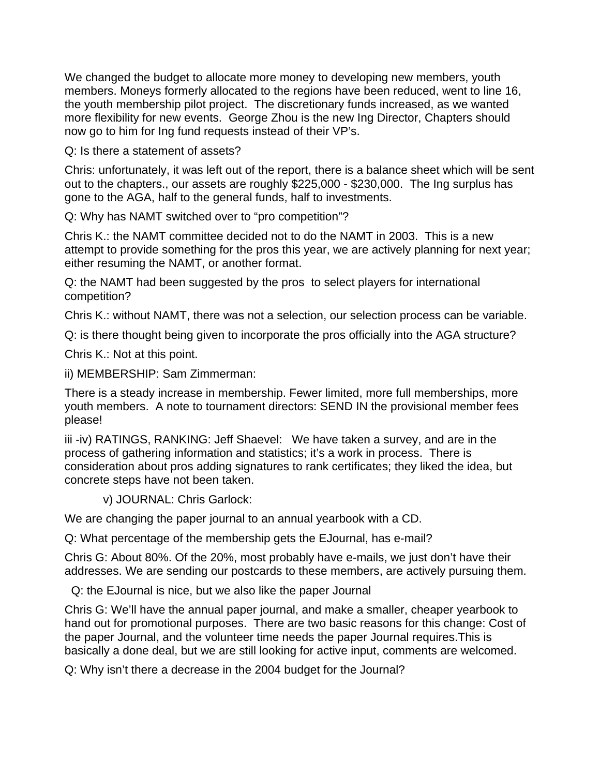We changed the budget to allocate more money to developing new members, youth members. Moneys formerly allocated to the regions have been reduced, went to line 16, the youth membership pilot project. The discretionary funds increased, as we wanted more flexibility for new events. George Zhou is the new Ing Director, Chapters should now go to him for Ing fund requests instead of their VP's.

Q: Is there a statement of assets?

Chris: unfortunately, it was left out of the report, there is a balance sheet which will be sent out to the chapters., our assets are roughly \$225,000 - \$230,000. The Ing surplus has gone to the AGA, half to the general funds, half to investments.

Q: Why has NAMT switched over to "pro competition"?

Chris K.: the NAMT committee decided not to do the NAMT in 2003. This is a new attempt to provide something for the pros this year, we are actively planning for next year; either resuming the NAMT, or another format.

Q: the NAMT had been suggested by the pros to select players for international competition?

Chris K.: without NAMT, there was not a selection, our selection process can be variable.

Q: is there thought being given to incorporate the pros officially into the AGA structure?

Chris K.: Not at this point.

ii) MEMBERSHIP: Sam Zimmerman:

There is a steady increase in membership. Fewer limited, more full memberships, more youth members. A note to tournament directors: SEND IN the provisional member fees please!

iii -iv) RATINGS, RANKING: Jeff Shaevel: We have taken a survey, and are in the process of gathering information and statistics; it's a work in process. There is consideration about pros adding signatures to rank certificates; they liked the idea, but concrete steps have not been taken.

v) JOURNAL: Chris Garlock:

We are changing the paper journal to an annual yearbook with a CD.

Q: What percentage of the membership gets the EJournal, has e-mail?

Chris G: About 80%. Of the 20%, most probably have e-mails, we just don't have their addresses. We are sending our postcards to these members, are actively pursuing them.

Q: the EJournal is nice, but we also like the paper Journal

Chris G: We'll have the annual paper journal, and make a smaller, cheaper yearbook to hand out for promotional purposes. There are two basic reasons for this change: Cost of the paper Journal, and the volunteer time needs the paper Journal requires.This is basically a done deal, but we are still looking for active input, comments are welcomed.

Q: Why isn't there a decrease in the 2004 budget for the Journal?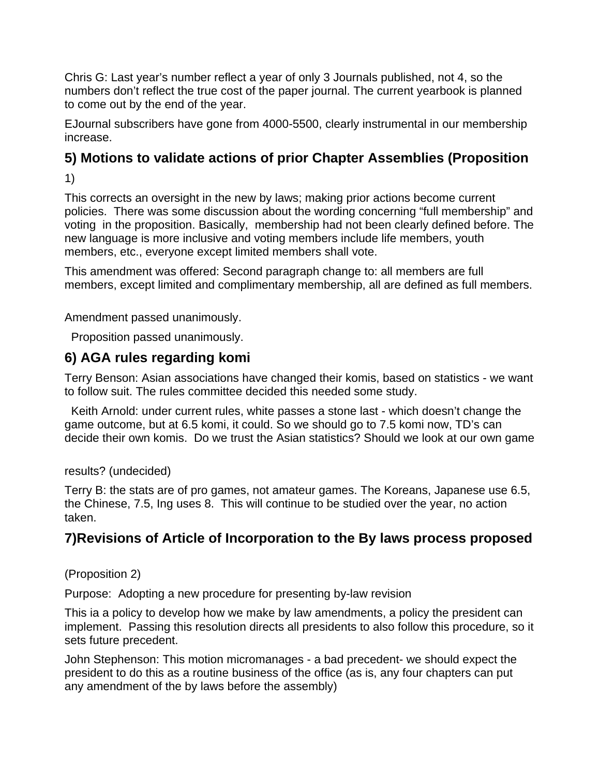Chris G: Last year's number reflect a year of only 3 Journals published, not 4, so the numbers don't reflect the true cost of the paper journal. The current yearbook is planned to come out by the end of the year.

EJournal subscribers have gone from 4000-5500, clearly instrumental in our membership increase.

# **5) Motions to validate actions of prior Chapter Assemblies (Proposition**

1)

This corrects an oversight in the new by laws; making prior actions become current policies. There was some discussion about the wording concerning "full membership" and voting in the proposition. Basically, membership had not been clearly defined before. The new language is more inclusive and voting members include life members, youth members, etc., everyone except limited members shall vote.

This amendment was offered: Second paragraph change to: all members are full members, except limited and complimentary membership, all are defined as full members.

Amendment passed unanimously.

Proposition passed unanimously.

#### **6) AGA rules regarding komi**

Terry Benson: Asian associations have changed their komis, based on statistics - we want to follow suit. The rules committee decided this needed some study.

 Keith Arnold: under current rules, white passes a stone last - which doesn't change the game outcome, but at 6.5 komi, it could. So we should go to 7.5 komi now, TD's can decide their own komis. Do we trust the Asian statistics? Should we look at our own game

results? (undecided)

Terry B: the stats are of pro games, not amateur games. The Koreans, Japanese use 6.5, the Chinese, 7.5, Ing uses 8. This will continue to be studied over the year, no action taken.

# **7)Revisions of Article of Incorporation to the By laws process proposed**

(Proposition 2)

Purpose: Adopting a new procedure for presenting by-law revision

This ia a policy to develop how we make by law amendments, a policy the president can implement. Passing this resolution directs all presidents to also follow this procedure, so it sets future precedent.

John Stephenson: This motion micromanages - a bad precedent- we should expect the president to do this as a routine business of the office (as is, any four chapters can put any amendment of the by laws before the assembly)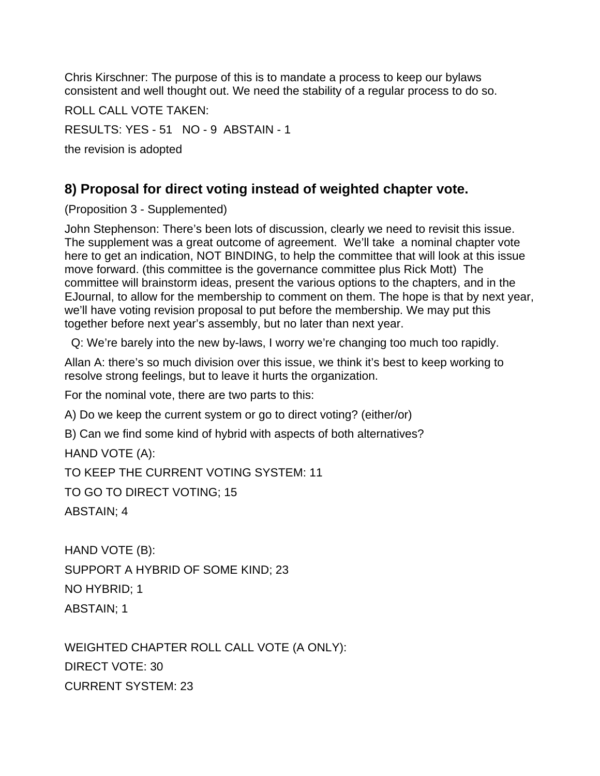Chris Kirschner: The purpose of this is to mandate a process to keep our bylaws consistent and well thought out. We need the stability of a regular process to do so.

ROLL CALL VOTE TAKEN: RESULTS: YES - 51 NO - 9 ABSTAIN - 1 the revision is adopted

#### **8) Proposal for direct voting instead of weighted chapter vote.**

(Proposition 3 - Supplemented)

John Stephenson: There's been lots of discussion, clearly we need to revisit this issue. The supplement was a great outcome of agreement. We'll take a nominal chapter vote here to get an indication, NOT BINDING, to help the committee that will look at this issue move forward. (this committee is the governance committee plus Rick Mott) The committee will brainstorm ideas, present the various options to the chapters, and in the EJournal, to allow for the membership to comment on them. The hope is that by next year, we'll have voting revision proposal to put before the membership. We may put this together before next year's assembly, but no later than next year.

Q: We're barely into the new by-laws, I worry we're changing too much too rapidly.

Allan A: there's so much division over this issue, we think it's best to keep working to resolve strong feelings, but to leave it hurts the organization.

For the nominal vote, there are two parts to this:

A) Do we keep the current system or go to direct voting? (either/or)

B) Can we find some kind of hybrid with aspects of both alternatives?

HAND VOTE (A):

TO KEEP THE CURRENT VOTING SYSTEM: 11

TO GO TO DIRECT VOTING; 15

ABSTAIN; 4

HAND VOTE (B): SUPPORT A HYBRID OF SOME KIND; 23 NO HYBRID; 1 ABSTAIN; 1

WEIGHTED CHAPTER ROLL CALL VOTE (A ONLY): DIRECT VOTE: 30 CURRENT SYSTEM: 23